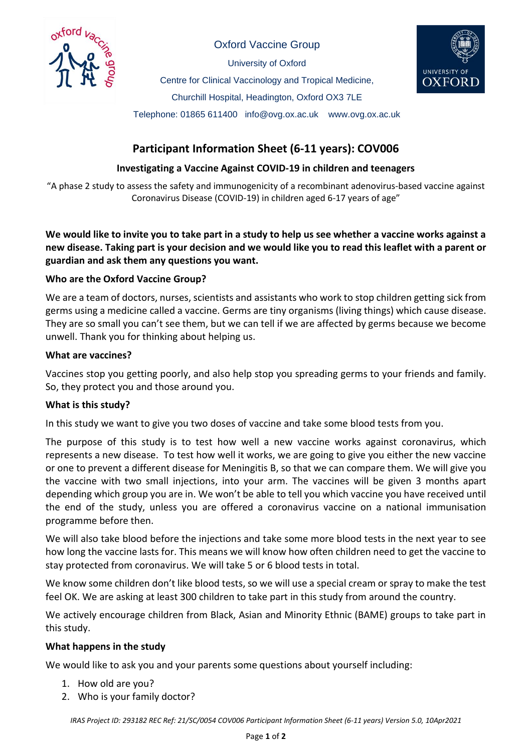

Oxford Vaccine Group

University of Oxford

Centre for Clinical Vaccinology and Tropical Medicine,



Churchill Hospital, Headington, Oxford OX3 7LE

Telephone: 01865 611400 info@ovg.ox.ac.uk www.ovg.ox.ac.uk

# **Participant Information Sheet (6-11 years): COV006**

# **Investigating a Vaccine Against COVID-19 in children and teenagers**

"A phase 2 study to assess the safety and immunogenicity of a recombinant adenovirus-based vaccine against Coronavirus Disease (COVID-19) in children aged 6-17 years of age"

**We would like to invite you to take part in a study to help us see whether a vaccine works against a new disease. Taking part is your decision and we would like you to read this leaflet with a parent or guardian and ask them any questions you want.**

# **Who are the Oxford Vaccine Group?**

We are a team of doctors, nurses, scientists and assistants who work to stop children getting sick from germs using a medicine called a vaccine. Germs are tiny organisms (living things) which cause disease. They are so small you can't see them, but we can tell if we are affected by germs because we become unwell. Thank you for thinking about helping us.

# **What are vaccines?**

Vaccines stop you getting poorly, and also help stop you spreading germs to your friends and family. So, they protect you and those around you.

# **What is this study?**

In this study we want to give you two doses of vaccine and take some blood tests from you.

The purpose of this study is to test how well a new vaccine works against coronavirus, which represents a new disease. To test how well it works, we are going to give you either the new vaccine or one to prevent a different disease for Meningitis B, so that we can compare them. We will give you the vaccine with two small injections, into your arm. The vaccines will be given 3 months apart depending which group you are in. We won't be able to tell you which vaccine you have received until the end of the study, unless you are offered a coronavirus vaccine on a national immunisation programme before then.

We will also take blood before the injections and take some more blood tests in the next year to see how long the vaccine lasts for. This means we will know how often children need to get the vaccine to stay protected from coronavirus. We will take 5 or 6 blood tests in total.

We know some children don't like blood tests, so we will use a special cream or spray to make the test feel OK. We are asking at least 300 children to take part in this study from around the country.

We actively encourage children from Black, Asian and Minority Ethnic (BAME) groups to take part in this study.

# **What happens in the study**

We would like to ask you and your parents some questions about yourself including:

- 1. How old are you?
- 2. Who is your family doctor?

*IRAS Project ID: 293182 REC Ref: 21/SC/0054 COV006 Participant Information Sheet (6-11 years) Version 5.0, 10Apr2021*